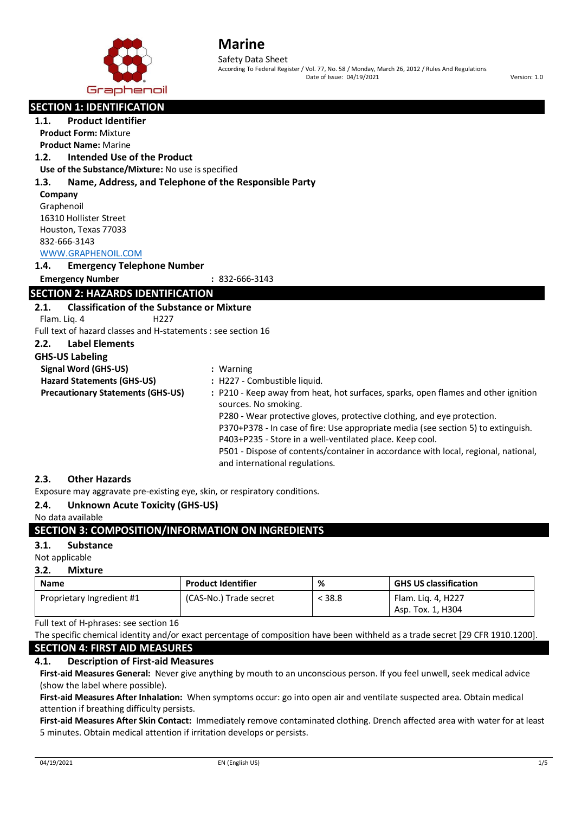

Safety Data Sheet According To Federal Register / Vol. 77, No. 58 / Monday, March 26, 2012 / Rules And Regulations Date of Issue: 04/19/2021 Version: 1.0

| <b>Product Identifier</b><br>1.1.<br><b>Product Form: Mixture</b><br><b>Product Name: Marine</b><br>Intended Use of the Product<br>1.2.<br>Use of the Substance/Mixture: No use is specified<br>Name, Address, and Telephone of the Responsible Party<br>1.3.<br>Company<br>Graphenoil<br>16310 Hollister Street<br>Houston, Texas 77033<br>832-666-3143<br>WWW.GRAPHENOIL.COM<br>1.4.<br><b>Emergency Telephone Number</b><br><b>Emergency Number</b><br>$: 832 - 666 - 3143$<br><b>SECTION 2: HAZARDS IDENTIFICATION</b><br><b>Classification of the Substance or Mixture</b><br>2.1.<br>Flam. Lig. 4<br>H <sub>227</sub><br>Full text of hazard classes and H-statements : see section 16<br><b>Label Elements</b><br>2.2.<br><b>GHS-US Labeling</b><br><b>Signal Word (GHS-US)</b><br>: Warning<br><b>Hazard Statements (GHS-US)</b><br>: H227 - Combustible liquid.<br><b>Precautionary Statements (GHS-US)</b><br>: P210 - Keep away from heat, hot surfaces, sparks, open flames and other ignition<br>sources. No smoking. |                                  |  |  |
|------------------------------------------------------------------------------------------------------------------------------------------------------------------------------------------------------------------------------------------------------------------------------------------------------------------------------------------------------------------------------------------------------------------------------------------------------------------------------------------------------------------------------------------------------------------------------------------------------------------------------------------------------------------------------------------------------------------------------------------------------------------------------------------------------------------------------------------------------------------------------------------------------------------------------------------------------------------------------------------------------------------------------------|----------------------------------|--|--|
|                                                                                                                                                                                                                                                                                                                                                                                                                                                                                                                                                                                                                                                                                                                                                                                                                                                                                                                                                                                                                                    | <b>SECTION 1: IDENTIFICATION</b> |  |  |
|                                                                                                                                                                                                                                                                                                                                                                                                                                                                                                                                                                                                                                                                                                                                                                                                                                                                                                                                                                                                                                    |                                  |  |  |
|                                                                                                                                                                                                                                                                                                                                                                                                                                                                                                                                                                                                                                                                                                                                                                                                                                                                                                                                                                                                                                    |                                  |  |  |
|                                                                                                                                                                                                                                                                                                                                                                                                                                                                                                                                                                                                                                                                                                                                                                                                                                                                                                                                                                                                                                    |                                  |  |  |
|                                                                                                                                                                                                                                                                                                                                                                                                                                                                                                                                                                                                                                                                                                                                                                                                                                                                                                                                                                                                                                    |                                  |  |  |
|                                                                                                                                                                                                                                                                                                                                                                                                                                                                                                                                                                                                                                                                                                                                                                                                                                                                                                                                                                                                                                    |                                  |  |  |
|                                                                                                                                                                                                                                                                                                                                                                                                                                                                                                                                                                                                                                                                                                                                                                                                                                                                                                                                                                                                                                    |                                  |  |  |
|                                                                                                                                                                                                                                                                                                                                                                                                                                                                                                                                                                                                                                                                                                                                                                                                                                                                                                                                                                                                                                    |                                  |  |  |
|                                                                                                                                                                                                                                                                                                                                                                                                                                                                                                                                                                                                                                                                                                                                                                                                                                                                                                                                                                                                                                    |                                  |  |  |
|                                                                                                                                                                                                                                                                                                                                                                                                                                                                                                                                                                                                                                                                                                                                                                                                                                                                                                                                                                                                                                    |                                  |  |  |
|                                                                                                                                                                                                                                                                                                                                                                                                                                                                                                                                                                                                                                                                                                                                                                                                                                                                                                                                                                                                                                    |                                  |  |  |
|                                                                                                                                                                                                                                                                                                                                                                                                                                                                                                                                                                                                                                                                                                                                                                                                                                                                                                                                                                                                                                    |                                  |  |  |
|                                                                                                                                                                                                                                                                                                                                                                                                                                                                                                                                                                                                                                                                                                                                                                                                                                                                                                                                                                                                                                    |                                  |  |  |
|                                                                                                                                                                                                                                                                                                                                                                                                                                                                                                                                                                                                                                                                                                                                                                                                                                                                                                                                                                                                                                    |                                  |  |  |
|                                                                                                                                                                                                                                                                                                                                                                                                                                                                                                                                                                                                                                                                                                                                                                                                                                                                                                                                                                                                                                    |                                  |  |  |
|                                                                                                                                                                                                                                                                                                                                                                                                                                                                                                                                                                                                                                                                                                                                                                                                                                                                                                                                                                                                                                    |                                  |  |  |
|                                                                                                                                                                                                                                                                                                                                                                                                                                                                                                                                                                                                                                                                                                                                                                                                                                                                                                                                                                                                                                    |                                  |  |  |
|                                                                                                                                                                                                                                                                                                                                                                                                                                                                                                                                                                                                                                                                                                                                                                                                                                                                                                                                                                                                                                    |                                  |  |  |
|                                                                                                                                                                                                                                                                                                                                                                                                                                                                                                                                                                                                                                                                                                                                                                                                                                                                                                                                                                                                                                    |                                  |  |  |
|                                                                                                                                                                                                                                                                                                                                                                                                                                                                                                                                                                                                                                                                                                                                                                                                                                                                                                                                                                                                                                    |                                  |  |  |
|                                                                                                                                                                                                                                                                                                                                                                                                                                                                                                                                                                                                                                                                                                                                                                                                                                                                                                                                                                                                                                    |                                  |  |  |
|                                                                                                                                                                                                                                                                                                                                                                                                                                                                                                                                                                                                                                                                                                                                                                                                                                                                                                                                                                                                                                    |                                  |  |  |
|                                                                                                                                                                                                                                                                                                                                                                                                                                                                                                                                                                                                                                                                                                                                                                                                                                                                                                                                                                                                                                    |                                  |  |  |
|                                                                                                                                                                                                                                                                                                                                                                                                                                                                                                                                                                                                                                                                                                                                                                                                                                                                                                                                                                                                                                    |                                  |  |  |
|                                                                                                                                                                                                                                                                                                                                                                                                                                                                                                                                                                                                                                                                                                                                                                                                                                                                                                                                                                                                                                    |                                  |  |  |
| P280 - Wear protective gloves, protective clothing, and eye protection.                                                                                                                                                                                                                                                                                                                                                                                                                                                                                                                                                                                                                                                                                                                                                                                                                                                                                                                                                            |                                  |  |  |
| P370+P378 - In case of fire: Use appropriate media (see section 5) to extinguish.                                                                                                                                                                                                                                                                                                                                                                                                                                                                                                                                                                                                                                                                                                                                                                                                                                                                                                                                                  |                                  |  |  |
| P403+P235 - Store in a well-ventilated place. Keep cool.                                                                                                                                                                                                                                                                                                                                                                                                                                                                                                                                                                                                                                                                                                                                                                                                                                                                                                                                                                           |                                  |  |  |
| P501 - Dispose of contents/container in accordance with local, regional, national,<br>and international regulations.                                                                                                                                                                                                                                                                                                                                                                                                                                                                                                                                                                                                                                                                                                                                                                                                                                                                                                               |                                  |  |  |

## **2.3. Other Hazards**

Exposure may aggravate pre-existing eye, skin, or respiratory conditions.

# **2.4. Unknown Acute Toxicity (GHS-US)**

### No data available

# **SECTION 3: COMPOSITION/INFORMATION ON INGREDIENTS**

### **3.1. Substance**

### Not applicable

### **3.2. Mixture**

| <b>Name</b>               | <b>Product Identifier</b> | %      | <b>GHS US classification</b> |
|---------------------------|---------------------------|--------|------------------------------|
| Proprietary Ingredient #1 | (CAS-No.) Trade secret    | < 38.8 | Flam. Lig. 4, H227           |
|                           |                           |        | Asp. Tox. 1, H304            |

Full text of H-phrases: see section 16

The specific chemical identity and/or exact percentage of composition have been withheld as a trade secret [29 CFR 1910.1200].

# **SECTION 4: FIRST AID MEASURES**

# **4.1. Description of First-aid Measures**

**First-aid Measures General:** Never give anything by mouth to an unconscious person. If you feel unwell, seek medical advice (show the label where possible).

**First-aid Measures After Inhalation:** When symptoms occur: go into open air and ventilate suspected area. Obtain medical attention if breathing difficulty persists.

**First-aid Measures After Skin Contact:** Immediately remove contaminated clothing. Drench affected area with water for at least 5 minutes. Obtain medical attention if irritation develops or persists.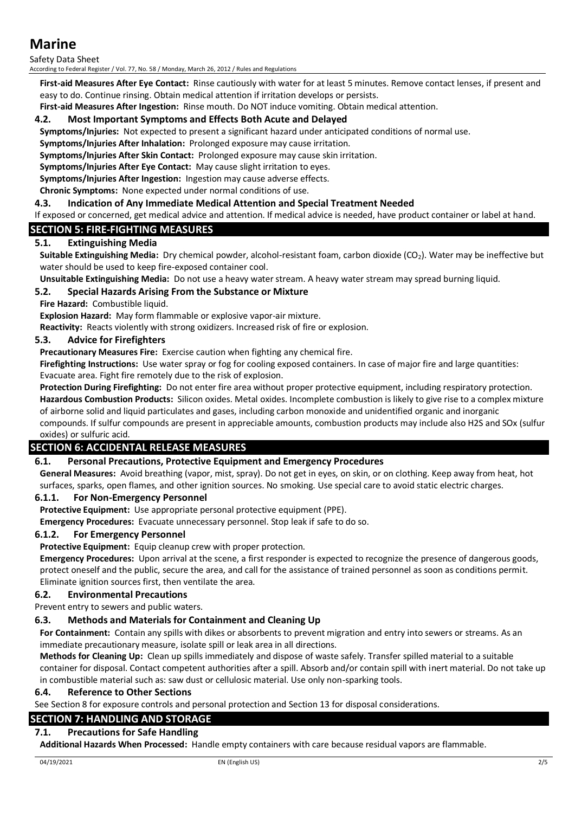Safety Data Sheet

According to Federal Register / Vol. 77, No. 58 / Monday, March 26, 2012 / Rules and Regulations

**First-aid Measures After Eye Contact:** Rinse cautiously with water for at least 5 minutes. Remove contact lenses, if present and easy to do. Continue rinsing. Obtain medical attention if irritation develops or persists.

**First-aid Measures After Ingestion:** Rinse mouth. Do NOT induce vomiting. Obtain medical attention.

# **4.2. Most Important Symptoms and Effects Both Acute and Delayed**

**Symptoms/Injuries:** Not expected to present a significant hazard under anticipated conditions of normal use.

**Symptoms/Injuries After Inhalation:** Prolonged exposure may cause irritation.

**Symptoms/Injuries After Skin Contact:** Prolonged exposure may cause skin irritation.

**Symptoms/Injuries After Eye Contact:** May cause slight irritation to eyes.

**Symptoms/Injuries After Ingestion:** Ingestion may cause adverse effects.

**Chronic Symptoms:** None expected under normal conditions of use.

# **4.3. Indication of Any Immediate Medical Attention and Special Treatment Needed**

If exposed or concerned, get medical advice and attention. If medical advice is needed, have product container or label at hand.

# **SECTION 5: FIRE-FIGHTING MEASURES**

# **5.1. Extinguishing Media**

**Suitable Extinguishing Media:** Dry chemical powder, alcohol-resistant foam, carbon dioxide (CO2). Water may be ineffective but water should be used to keep fire-exposed container cool.

**Unsuitable Extinguishing Media:** Do not use a heavy water stream. A heavy water stream may spread burning liquid.

# **5.2. Special Hazards Arising From the Substance or Mixture**

**Fire Hazard: Combustible liquid.** 

**Explosion Hazard:** May form flammable or explosive vapor-air mixture.

**Reactivity:** Reacts violently with strong oxidizers. Increased risk of fire or explosion.

# **5.3. Advice for Firefighters**

**Precautionary Measures Fire:** Exercise caution when fighting any chemical fire.

**Firefighting Instructions:** Use water spray or fog for cooling exposed containers. In case of major fire and large quantities: Evacuate area. Fight fire remotely due to the risk of explosion.

**Protection During Firefighting:** Do not enter fire area without proper protective equipment, including respiratory protection. **Hazardous Combustion Products:** Silicon oxides. Metal oxides. Incomplete combustion is likely to give rise to a complex mixture of airborne solid and liquid particulates and gases, including carbon monoxide and unidentified organic and inorganic compounds. If sulfur compounds are present in appreciable amounts, combustion products may include also H2S and SOx (sulfur oxides) or sulfuric acid.

# **SECTION 6: ACCIDENTAL RELEASE MEASURES**

# **6.1. Personal Precautions, Protective Equipment and Emergency Procedures**

**General Measures:** Avoid breathing (vapor, mist, spray). Do not get in eyes, on skin, or on clothing. Keep away from heat, hot surfaces, sparks, open flames, and other ignition sources. No smoking. Use special care to avoid static electric charges.

# **6.1.1. For Non-Emergency Personnel**

**Protective Equipment:** Use appropriate personal protective equipment (PPE).

**Emergency Procedures:** Evacuate unnecessary personnel. Stop leak if safe to do so.

# **6.1.2. For Emergency Personnel**

**Protective Equipment:** Equip cleanup crew with proper protection.

**Emergency Procedures:** Upon arrival at the scene, a first responder is expected to recognize the presence of dangerous goods, protect oneself and the public, secure the area, and call for the assistance of trained personnel as soon as conditions permit. Eliminate ignition sources first, then ventilate the area.

# **6.2. Environmental Precautions**

Prevent entry to sewers and public waters.

# **6.3. Methods and Materials for Containment and Cleaning Up**

**For Containment:** Contain any spills with dikes or absorbents to prevent migration and entry into sewers or streams. As an immediate precautionary measure, isolate spill or leak area in all directions.

**Methods for Cleaning Up:** Clean up spills immediately and dispose of waste safely. Transfer spilled material to a suitable container for disposal. Contact competent authorities after a spill. Absorb and/or contain spill with inert material. Do not take up in combustible material such as: saw dust or cellulosic material. Use only non-sparking tools.

# **6.4. Reference to Other Sections**

See Section 8 for exposure controls and personal protection and Section 13 for disposal considerations.

# **SECTION 7: HANDLING AND STORAGE**

# **7.1. Precautions for Safe Handling**

**Additional Hazards When Processed:** Handle empty containers with care because residual vapors are flammable.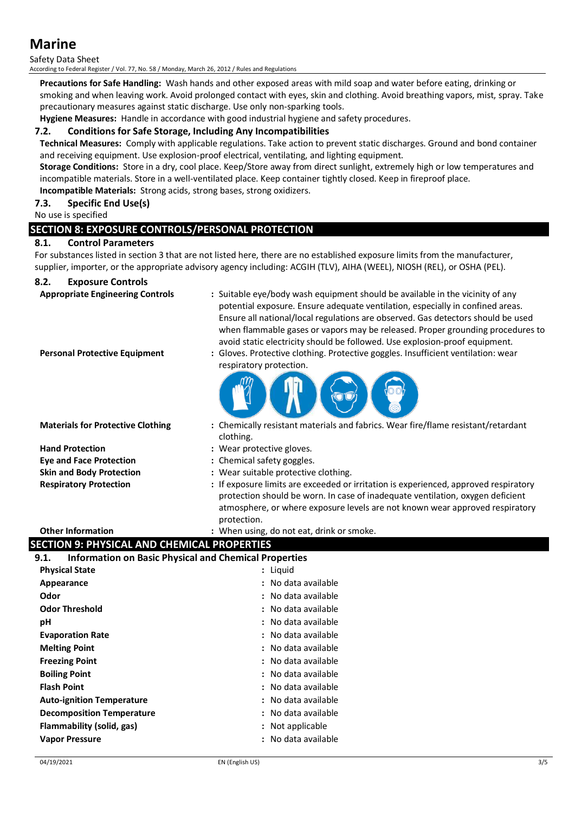# Safety Data Sheet

According to Federal Register / Vol. 77, No. 58 / Monday, March 26, 2012 / Rules and Regulations

**Precautions for Safe Handling:** Wash hands and other exposed areas with mild soap and water before eating, drinking or smoking and when leaving work. Avoid prolonged contact with eyes, skin and clothing. Avoid breathing vapors, mist, spray. Take precautionary measures against static discharge. Use only non-sparking tools.

**Hygiene Measures:** Handle in accordance with good industrial hygiene and safety procedures.

## **7.2. Conditions for Safe Storage, Including Any Incompatibilities**

**Technical Measures:** Comply with applicable regulations. Take action to prevent static discharges. Ground and bond container and receiving equipment. Use explosion-proof electrical, ventilating, and lighting equipment.

**Storage Conditions:** Store in a dry, cool place. Keep/Store away from direct sunlight, extremely high or low temperatures and incompatible materials. Store in a well-ventilated place. Keep container tightly closed. Keep in fireproof place.

**Incompatible Materials:** Strong acids, strong bases, strong oxidizers.

# **7.3. Specific End Use(s)**

No use is specified

# **SECTION 8: EXPOSURE CONTROLS/PERSONAL PROTECTION**

# **8.1. Control Parameters**

For substances listed in section 3 that are not listed here, there are no established exposure limits from the manufacturer, supplier, importer, or the appropriate advisory agency including: ACGIH (TLV), AIHA (WEEL), NIOSH (REL), or OSHA (PEL).

# **8.2. Exposure Controls**

- **Appropriate Engineering Controls :** Suitable eye/body wash equipment should be available in the vicinity of any potential exposure. Ensure adequate ventilation, especially in confined areas. Ensure all national/local regulations are observed. Gas detectors should be used when flammable gases or vapors may be released. Proper grounding procedures to avoid static electricity should be followed. Use explosion-proof equipment.
- 
- **Personal Protective Equipment :** Gloves. Protective clothing. Protective goggles. Insufficient ventilation: wear respiratory protection.



**Hand Protection :** Wear protective gloves.

- **Materials for Protective Clothing :** Chemically resistant materials and fabrics. Wear fire/flame resistant/retardant clothing.
	-
- **Eye and Face Protection :** Chemical safety goggles.
- **Skin and Body Protection :** Wear suitable protective clothing.
- **Respiratory Protection :** If exposure limits are exceeded or irritation is experienced, approved respiratory protection should be worn. In case of inadequate ventilation, oxygen deficient atmosphere, or where exposure levels are not known wear approved respiratory protection.

### **Other Information by the contract of the U.S. When using, do not eat, drink or smoke.**

# **SECTION 9: PHYSICAL AND CHEMICAL PROPERTIES**

# **9.1. Information on Basic Physical and Chemical Properties**

| : Liguid            |
|---------------------|
| No data available   |
| : No data available |
| : No data available |
| No data available   |
| : No data available |
| : No data available |
| No data available   |
| : No data available |
| : No data available |
| No data available   |
| : No data available |
| Not applicable      |
| No data available   |
|                     |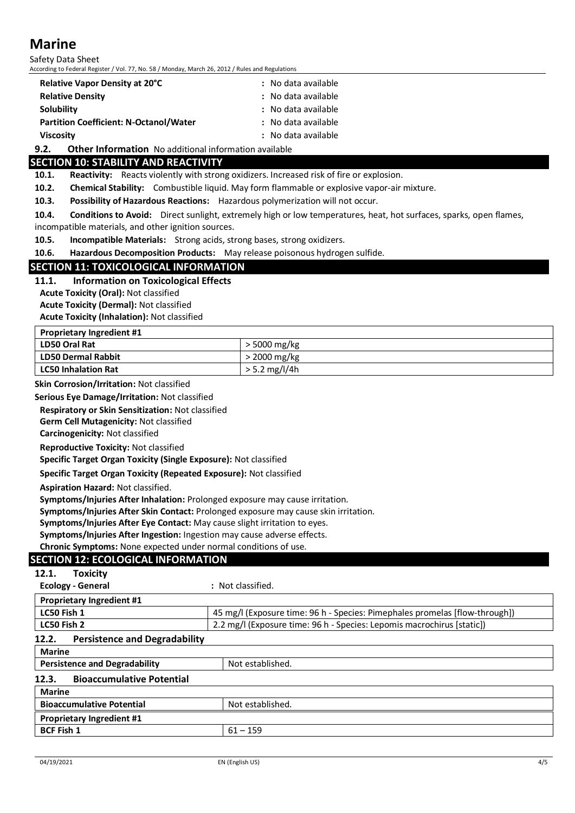Safety Data Sheet According to Federal Register / Vol. 77, No. 58 / Monday, March 26, 2012 / Rules and Regulations

| <b>Relative Vapor Density at 20°C</b>         | : No data available |  |
|-----------------------------------------------|---------------------|--|
| <b>Relative Density</b>                       | : No data available |  |
| <b>Solubility</b>                             | : No data available |  |
| <b>Partition Coefficient: N-Octanol/Water</b> | : No data available |  |
| Viscosity                                     | : No data available |  |

**9.2. Other Information** No additional information available

# **SECTION 10: STABILITY AND REACTIVITY**

**10.1.** Reactivity: Reacts violently with strong oxidizers. Increased risk of fire or explosion.

**10.2. Chemical Stability:** Combustible liquid. May form flammable or explosive vapor-air mixture.

**10.3. Possibility of Hazardous Reactions:** Hazardous polymerization will not occur.

**10.4. Conditions to Avoid:** Direct sunlight, extremely high or low temperatures, heat, hot surfaces, sparks, open flames, incompatible materials, and other ignition sources.

**10.5. Incompatible Materials:** Strong acids, strong bases, strong oxidizers.

**10.6. Hazardous Decomposition Products:** May release poisonous hydrogen sulfide.

### **SECTION 11: TOXICOLOGICAL INFORMATION**

### **11.1. Information on Toxicological Effects**

**Acute Toxicity (Oral):** Not classified

**Acute Toxicity (Dermal):** Not classified

**Acute Toxicity (Inhalation):** Not classified

| <b>Proprietary Ingredient #1</b> |                 |  |
|----------------------------------|-----------------|--|
| LD50 Oral Rat                    | $>$ 5000 mg/kg  |  |
| LD50 Dermal Rabbit               | $>$ 2000 mg/kg  |  |
| <b>LC50 Inhalation Rat</b>       | $> 5.2$ mg/l/4h |  |

**Skin Corrosion/Irritation:** Not classified

**Serious Eye Damage/Irritation:** Not classified

**Respiratory or Skin Sensitization:** Not classified

**Germ Cell Mutagenicity:** Not classified

**Carcinogenicity:** Not classified

**Reproductive Toxicity:** Not classified

**Specific Target Organ Toxicity (Single Exposure):** Not classified

**Specific Target Organ Toxicity (Repeated Exposure):** Not classified

**Aspiration Hazard:** Not classified.

**Symptoms/Injuries After Inhalation:** Prolonged exposure may cause irritation.

**Symptoms/Injuries After Skin Contact:** Prolonged exposure may cause skin irritation.

**Symptoms/Injuries After Eye Contact:** May cause slight irritation to eyes.

**Symptoms/Injuries After Ingestion:** Ingestion may cause adverse effects.

**Chronic Symptoms:** None expected under normal conditions of use.

# **SECTION 12: ECOLOGICAL INFORMATION**

**12.1. Toxicity**

**Ecology - General :** Not classified.

| <b>Proprietary Ingredient #1</b>                         |                                                                             |  |
|----------------------------------------------------------|-----------------------------------------------------------------------------|--|
| LC50 Fish 1                                              | 45 mg/l (Exposure time: 96 h - Species: Pimephales promelas [flow-through]) |  |
| LC50 Fish 2                                              | 2.2 mg/l (Exposure time: 96 h - Species: Lepomis macrochirus [static])      |  |
| <b>Persistence and Degradability</b><br>12.2.            |                                                                             |  |
| <b>Marine</b>                                            |                                                                             |  |
| <b>Persistence and Degradability</b><br>Not established. |                                                                             |  |
| <b>Bioaccumulative Potential</b><br>12.3.                |                                                                             |  |
| <b>Marine</b>                                            |                                                                             |  |
| <b>Bioaccumulative Potential</b>                         | Not established.                                                            |  |
| <b>Proprietary Ingredient #1</b>                         |                                                                             |  |
| <b>BCF Fish 1</b>                                        | $61 - 159$                                                                  |  |